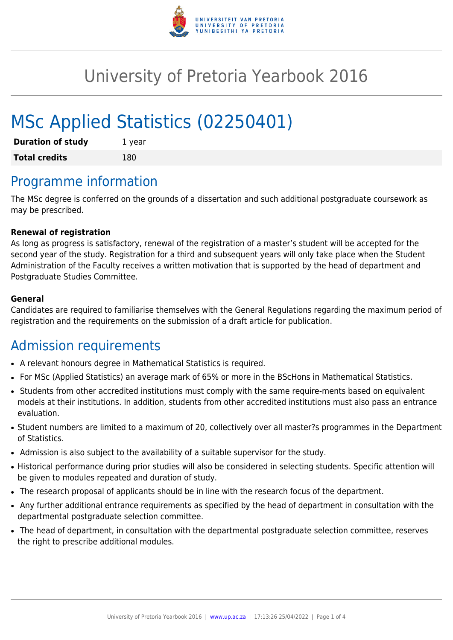

# University of Pretoria Yearbook 2016

# MSc Applied Statistics (02250401)

| <b>Duration of study</b> | 1 year |
|--------------------------|--------|
| <b>Total credits</b>     | 180    |

## Programme information

The MSc degree is conferred on the grounds of a dissertation and such additional postgraduate coursework as may be prescribed.

#### **Renewal of registration**

As long as progress is satisfactory, renewal of the registration of a master's student will be accepted for the second year of the study. Registration for a third and subsequent years will only take place when the Student Administration of the Faculty receives a written motivation that is supported by the head of department and Postgraduate Studies Committee.

#### **General**

Candidates are required to familiarise themselves with the General Regulations regarding the maximum period of registration and the requirements on the submission of a draft article for publication.

#### Admission requirements

- A relevant honours degree in Mathematical Statistics is required.
- For MSc (Applied Statistics) an average mark of 65% or more in the BScHons in Mathematical Statistics.
- Students from other accredited institutions must comply with the same require-ments based on equivalent models at their institutions. In addition, students from other accredited institutions must also pass an entrance evaluation.
- Student numbers are limited to a maximum of 20, collectively over all master?s programmes in the Department of Statistics.
- Admission is also subject to the availability of a suitable supervisor for the study.
- Historical performance during prior studies will also be considered in selecting students. Specific attention will be given to modules repeated and duration of study.
- The research proposal of applicants should be in line with the research focus of the department.
- Any further additional entrance requirements as specified by the head of department in consultation with the departmental postgraduate selection committee.
- The head of department, in consultation with the departmental postgraduate selection committee, reserves the right to prescribe additional modules.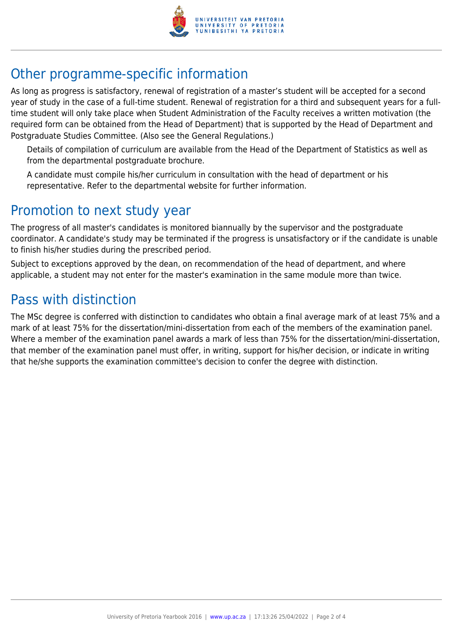

## Other programme-specific information

As long as progress is satisfactory, renewal of registration of a master's student will be accepted for a second year of study in the case of a full-time student. Renewal of registration for a third and subsequent years for a fulltime student will only take place when Student Administration of the Faculty receives a written motivation (the required form can be obtained from the Head of Department) that is supported by the Head of Department and Postgraduate Studies Committee. (Also see the General Regulations.)

Details of compilation of curriculum are available from the Head of the Department of Statistics as well as from the departmental postgraduate brochure.

A candidate must compile his/her curriculum in consultation with the head of department or his representative. Refer to the departmental website for further information.

### Promotion to next study year

The progress of all master's candidates is monitored biannually by the supervisor and the postgraduate coordinator. A candidate's study may be terminated if the progress is unsatisfactory or if the candidate is unable to finish his/her studies during the prescribed period.

Subject to exceptions approved by the dean, on recommendation of the head of department, and where applicable, a student may not enter for the master's examination in the same module more than twice.

### Pass with distinction

The MSc degree is conferred with distinction to candidates who obtain a final average mark of at least 75% and a mark of at least 75% for the dissertation/mini-dissertation from each of the members of the examination panel. Where a member of the examination panel awards a mark of less than 75% for the dissertation/mini-dissertation, that member of the examination panel must offer, in writing, support for his/her decision, or indicate in writing that he/she supports the examination committee's decision to confer the degree with distinction.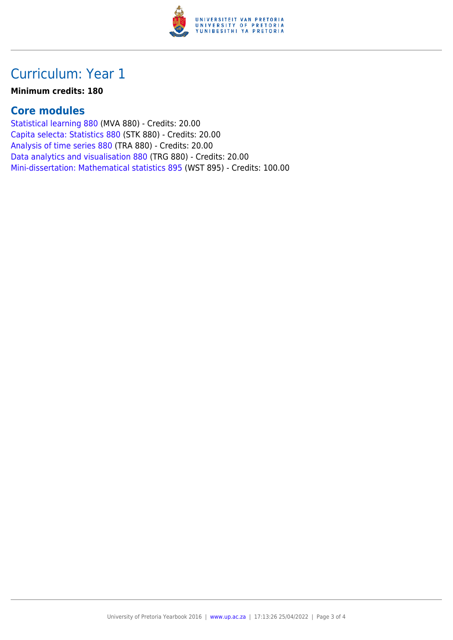

## Curriculum: Year 1

#### **Minimum credits: 180**

#### **Core modules**

[Statistical learning 880](https://www.up.ac.za/parents/yearbooks/2016/modules/view/MVA 880) (MVA 880) - Credits: 20.00 [Capita selecta: Statistics 880](https://www.up.ac.za/parents/yearbooks/2016/modules/view/STK 880) (STK 880) - Credits: 20.00 [Analysis of time series 880](https://www.up.ac.za/parents/yearbooks/2016/modules/view/TRA 880) (TRA 880) - Credits: 20.00 [Data analytics and visualisation 880](https://www.up.ac.za/parents/yearbooks/2016/modules/view/TRG 880) (TRG 880) - Credits: 20.00 [Mini-dissertation: Mathematical statistics 895](https://www.up.ac.za/parents/yearbooks/2016/modules/view/WST 895) (WST 895) - Credits: 100.00